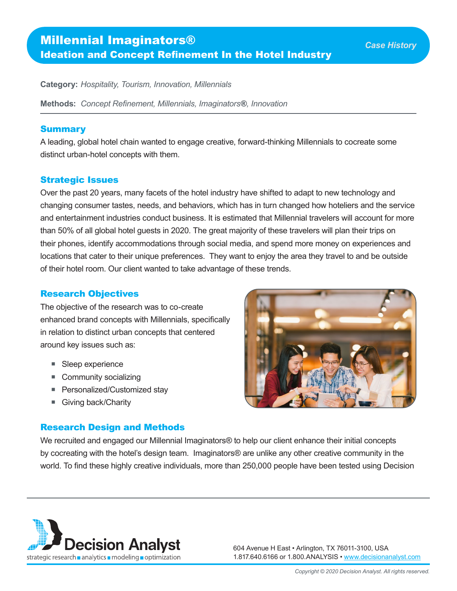# Millennial Imaginators® Ideation and Concept Refinement In the Hotel Industry

**Category:** *Hospitality, Tourism, Innovation, Millennials*

**Methods:** *Concept Refinement, Millennials, Imaginators*®*, Innovation*

#### Summary

A leading, global hotel chain wanted to engage creative, forward-thinking Millennials to cocreate some distinct urban-hotel concepts with them.

### Strategic Issues

Over the past 20 years, many facets of the hotel industry have shifted to adapt to new technology and changing consumer tastes, needs, and behaviors, which has in turn changed how hoteliers and the service and entertainment industries conduct business. It is estimated that Millennial travelers will account for more than 50% of all global hotel guests in 2020. The great majority of these travelers will plan their trips on their phones, identify accommodations through social media, and spend more money on experiences and locations that cater to their unique preferences. They want to enjoy the area they travel to and be outside of their hotel room. Our client wanted to take advantage of these trends.

#### Research Objectives

The objective of the research was to co-create enhanced brand concepts with Millennials, specifically in relation to distinct urban concepts that centered around key issues such as:

- Sleep experience
- Community socializing
- Personalized/Customized stay
- Giving back/Charity

## Research Design and Methods



We recruited and engaged our Millennial Imaginators® to help our client enhance their initial concepts by cocreating with the hotel's design team. Imaginators® are unlike any other creative community in the world. To find these highly creative individuals, more than 250,000 people have been tested using Decision



604 Avenue H East • Arlington, TX 76011-3100, USA 1.817.640.6166 or 1.800.ANALYSIS • [www.decisionanalyst.com](https://www.decisionanalyst.com/)